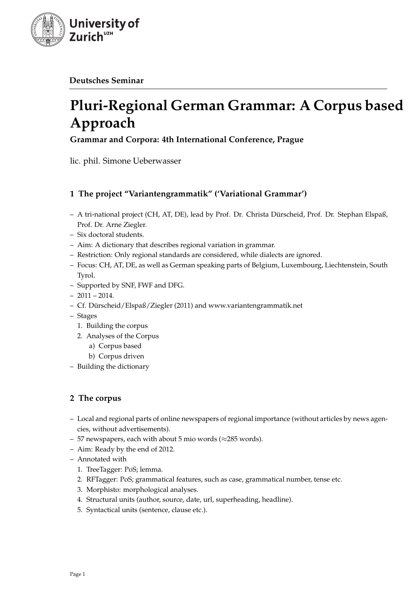

**Deutsches Seminar**

# **Pluri-Regional German Grammar: A Corpus based Approach**

**Grammar and Corpora: 4th International Conference, Prague**

lic. phil. Simone Ueberwasser

# **1 The project "Variantengrammatik" ('Variational Grammar')**

- A tri-national project (CH, AT, DE), lead by Prof. Dr. Christa Dürscheid, Prof. Dr. Stephan Elspaß, Prof. Dr. Arne Ziegler.
- Six doctoral students.
- Aim: A dictionary that describes regional variation in grammar.
- Restriction: Only regional standards are considered, while dialects are ignored.
- Focus: CH, AT, DE, as well as German speaking parts of Belgium, Luxembourg, Liechtenstein, South Tyrol.
- Supported by SNF, FWF and DFG.
- $-2011 2014$ .
- Cf. Dürscheid/Elspaß/Ziegler (2011) and www.variantengrammatik.net
- Stages
	- 1. Building the corpus
	- 2. Analyses of the Corpus
		- a) Corpus based
		- b) Corpus driven
- Building the dictionary

# **2 The corpus**

- Local and regional parts of online newspapers of regional importance (without articles by news agencies, without advertisements).
- 57 newspapers, each with about 5 mio words ( $\approx$ 285 words).
- Aim: Ready by the end of 2012.
- Annotated with
	- 1. TreeTagger: PoS; lemma.
	- 2. RFTagger: PoS; grammatical features, such as case, grammatical number, tense etc.
	- 3. Morphisto: morphological analyses.
	- 4. Structural units (author, source, date, url, superheading, headline).
	- 5. Syntactical units (sentence, clause etc.).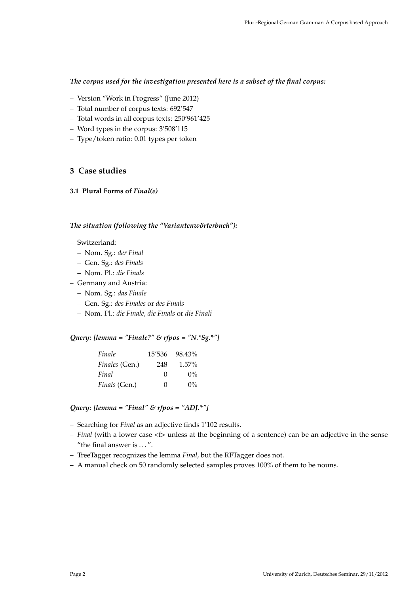## *The corpus used for the investigation presented here is a subset of the final corpus:*

- Version "Work in Progress" (June 2012)
- Total number of corpus texts: 692'547
- Total words in all corpus texts: 250'961'425
- Word types in the corpus: 3'508'115
- Type/token ratio: 0.01 types per token

# **3 Case studies**

#### **3.1 Plural Forms of** *Final(e)*

#### *The situation (following the "Variantenwörterbuch"):*

- Switzerland:
	- Nom. Sg.: *der Final*
	- Gen. Sg.: *des Finals*
	- Nom. Pl.: *die Finals*
- Germany and Austria:
	- Nom. Sg.: *das Finale*
	- Gen. Sg.: *des Finales* or *des Finals*
	- Nom. Pl.: *die Finale*, *die Finals* or *die Finali*

# *Query: [lemma = "Finale?" & rfpos = "N.\*Sg.\*"]*

| Finale         | 15'536            | 98.43%   |
|----------------|-------------------|----------|
| Finales (Gen.) | 248               | $1.57\%$ |
| Final          | $\mathbf{\Omega}$ | $0\%$    |
| Finals (Gen.)  | 0                 | $0\%$    |

*Query: [lemma = "Final" & rfpos = "ADJ.\*"]*

- Searching for *Final* as an adjective finds 1'102 results.
- *Final* (with a lower case <f> unless at the beginning of a sentence) can be an adjective in the sense "the final answer is . . . ".
- TreeTagger recognizes the lemma *Final*, but the RFTagger does not.
- A manual check on 50 randomly selected samples proves 100% of them to be nouns.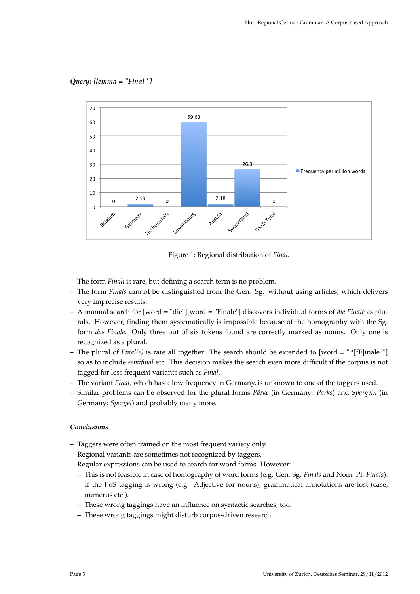*Query: [lemma = "Final" ]*



Figure 1: Regional distribution of *Final*.

- The form *Finali* is rare, but defining a search term is no problem.
- The form *Finals* cannot be distinguished from the Gen. Sg. without using articles, which delivers very imprecise results.
- A manual search for [word = "die"][word = "Finale"] discovers individual forms of *die Finale* as plurals. However, finding them systematically is impossible because of the homography with the Sg. form *das Finale*. Only three out of six tokens found are correctly marked as nouns. Only one is recognized as a plural.
- The plural of *Final(e)* is rare all together. The search should be extended to [word = ".\*[fF]inale?"] so as to include *semifinal* etc. This decision makes the search even more difficult if the corpus is not tagged for less frequent variants such as *Final*.
- The variant *Final*, which has a low frequency in Germany, is unknown to one of the taggers used.
- Similar problems can be observed for the plural forms *Pärke* (in Germany: *Parks*) and *Spargeln* (in Germany: *Spargel*) and probably many more.

#### *Conclusions*

- Taggers were often trained on the most frequent variety only.
- Regional variants are sometimes not recognized by taggers.
- Regular expressions can be used to search for word forms. However:
	- This is not feasible in case of homography of word forms (e.g. Gen. Sg. *Finals* and Nom. Pl. *Finals*).
	- If the PoS tagging is wrong (e.g. Adjective for nouns), grammatical annotations are lost (case, numerus etc.).
	- These wrong taggings have an influence on syntactic searches, too.
	- These wrong taggings might disturb corpus-driven research.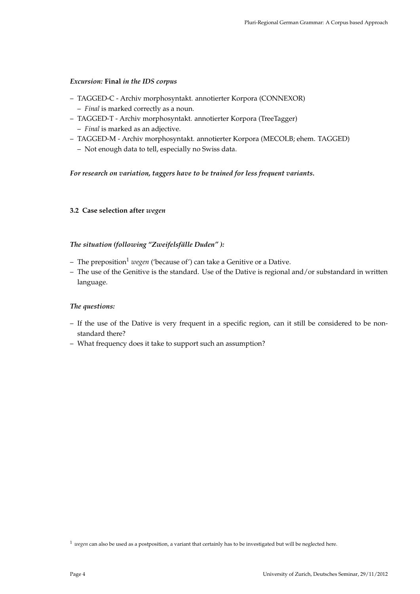## *Excursion:* **Final** *in the IDS corpus*

- TAGGED-C Archiv morphosyntakt. annotierter Korpora (CONNEXOR) – *Final* is marked correctly as a noun.
- TAGGED-T Archiv morphosyntakt. annotierter Korpora (TreeTagger)
	- *Final* is marked as an adjective.
- TAGGED-M Archiv morphosyntakt. annotierter Korpora (MECOLB; ehem. TAGGED)
	- Not enough data to tell, especially no Swiss data.

# *For research on variation, taggers have to be trained for less frequent variants.*

## **3.2 Case selection after** *wegen*

# *The situation (following "Zweifelsfälle Duden" ):*

- The preposition<sup>1</sup> wegen ('because of') can take a Genitive or a Dative.
- The use of the Genitive is the standard. Use of the Dative is regional and/or substandard in written language.

# *The questions:*

- If the use of the Dative is very frequent in a specific region, can it still be considered to be nonstandard there?
- What frequency does it take to support such an assumption?

<sup>1</sup> *wegen* can also be used as a postposition, a variant that certainly has to be investigated but will be neglected here.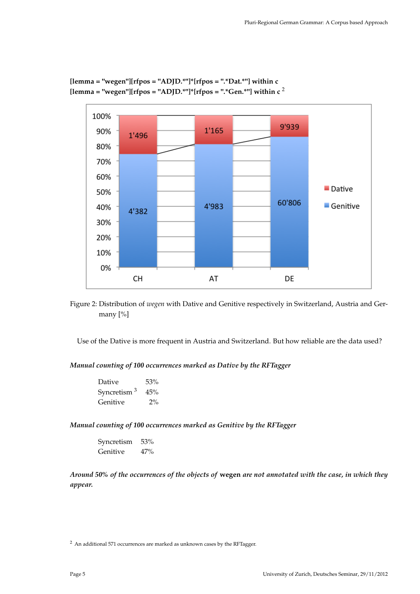

**[lemma = "wegen"][rfpos = "ADJD.\*"]\*[rfpos = ".\*Dat.\*"] within c**  $[lemma = "wegen"][rfpos = "ADJD.""]*[rfpos = "."Gen."'] with in c<sup>2</sup>$ 

Figure 2: Distribution of *wegen* with Dative and Genitive respectively in Switzerland, Austria and Germany [%]

Use of the Dative is more frequent in Austria and Switzerland. But how reliable are the data used?

*Manual counting of 100 occurrences marked as Dative by the RFTagger*

| Dative                  | 53%   |
|-------------------------|-------|
| Syncretism <sup>3</sup> | 45%   |
| Genitive                | $2\%$ |

*Manual counting of 100 occurrences marked as Genitive by the RFTagger*

Syncretism 53% Genitive 47%

*Around 50% of the occurrences of the objects of* **wegen** *are not annotated with the case, in which they appear.*

<sup>2</sup> An additional 571 occurrences are marked as unknown cases by the RFTagger.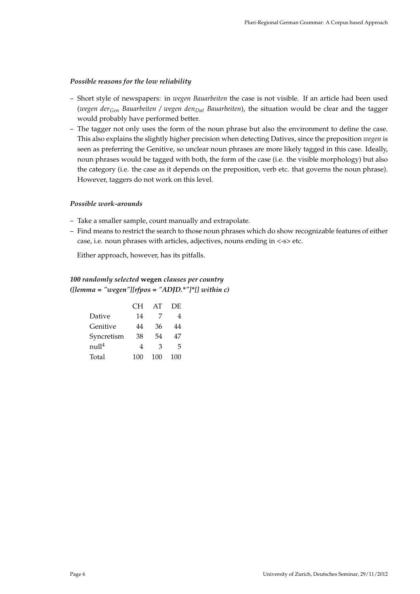## *Possible reasons for the low reliability*

- Short style of newspapers: in *wegen Bauarbeiten* the case is not visible. If an article had been used (*wegen derGen Bauarbeiten / wegen denDat Bauarbeiten*), the situation would be clear and the tagger would probably have performed better.
- The tagger not only uses the form of the noun phrase but also the environment to define the case. This also explains the slightly higher precision when detecting Datives, since the preposition *wegen* is seen as preferring the Genitive, so unclear noun phrases are more likely tagged in this case. Ideally, noun phrases would be tagged with both, the form of the case (i.e. the visible morphology) but also the category (i.e. the case as it depends on the preposition, verb etc. that governs the noun phrase). However, taggers do not work on this level.

#### *Possible work-arounds*

- Take a smaller sample, count manually and extrapolate.
- Find means to restrict the search to those noun phrases which do show recognizable features of either case, i.e. noun phrases with articles, adjectives, nouns ending in <-s> etc.

Either approach, however, has its pitfalls.

# *100 randomly selected* **wegen** *clauses per country ([lemma = "wegen"][rfpos = "ADJD.\*"]\*[] within c)*

|                   | CН  | AT  | DE  |
|-------------------|-----|-----|-----|
| Dative            | 14  | 7   | 4   |
| Genitive          | 44  | 36  | 44  |
| Syncretism        | 38  | 54  | 47  |
| null <sup>4</sup> | 4   | З   | 5   |
| Total             | 100 | 100 | 100 |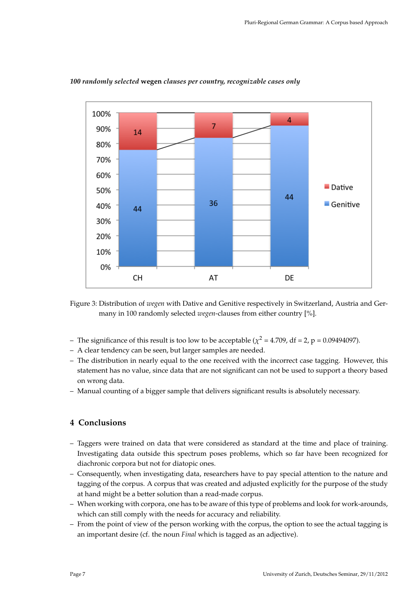

#### *100 randomly selected* **wegen** *clauses per country, recognizable cases only*

Figure 3: Distribution of *wegen* with Dative and Genitive respectively in Switzerland, Austria and Germany in 100 randomly selected *wegen*-clauses from either country [%].

- The significance of this result is too low to be acceptable ( $\chi^2$  = 4.709, df = 2, p = 0.09494097).
- A clear tendency can be seen, but larger samples are needed.
- The distribution in nearly equal to the one received with the incorrect case tagging. However, this statement has no value, since data that are not significant can not be used to support a theory based on wrong data.
- Manual counting of a bigger sample that delivers significant results is absolutely necessary.

# **4 Conclusions**

- Taggers were trained on data that were considered as standard at the time and place of training. Investigating data outside this spectrum poses problems, which so far have been recognized for diachronic corpora but not for diatopic ones.
- Consequently, when investigating data, researchers have to pay special attention to the nature and tagging of the corpus. A corpus that was created and adjusted explicitly for the purpose of the study at hand might be a better solution than a read-made corpus.
- When working with corpora, one has to be aware of this type of problems and look for work-arounds, which can still comply with the needs for accuracy and reliability.
- From the point of view of the person working with the corpus, the option to see the actual tagging is an important desire (cf. the noun *Final* which is tagged as an adjective).